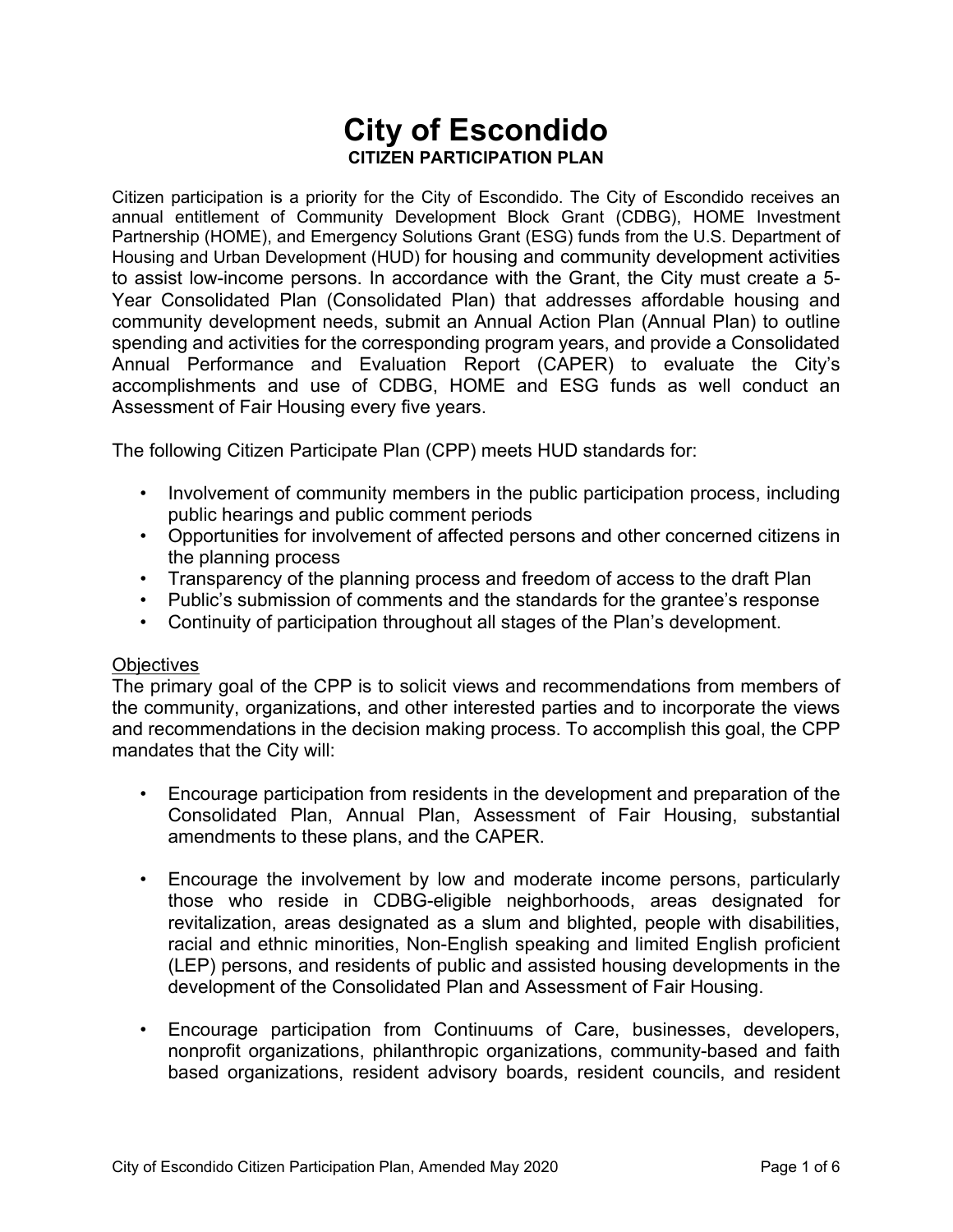# **City of Escondido CITIZEN PARTICIPATION PLAN**

Citizen participation is a priority for the City of Escondido. The City of Escondido receives an annual entitlement of Community Development Block Grant (CDBG), HOME Investment Partnership (HOME), and Emergency Solutions Grant (ESG) funds from the U.S. Department of Housing and Urban Development (HUD) for housing and community development activities to assist low-income persons. In accordance with the Grant, the City must create a 5- Year Consolidated Plan (Consolidated Plan) that addresses affordable housing and community development needs, submit an Annual Action Plan (Annual Plan) to outline spending and activities for the corresponding program years, and provide a Consolidated Annual Performance and Evaluation Report (CAPER) to evaluate the City's accomplishments and use of CDBG, HOME and ESG funds as well conduct an Assessment of Fair Housing every five years.

The following Citizen Participate Plan (CPP) meets HUD standards for:

- Involvement of community members in the public participation process, including public hearings and public comment periods
- Opportunities for involvement of affected persons and other concerned citizens in the planning process
- Transparency of the planning process and freedom of access to the draft Plan
- Public's submission of comments and the standards for the grantee's response
- Continuity of participation throughout all stages of the Plan's development.

### **Objectives**

The primary goal of the CPP is to solicit views and recommendations from members of the community, organizations, and other interested parties and to incorporate the views and recommendations in the decision making process. To accomplish this goal, the CPP mandates that the City will:

- Encourage participation from residents in the development and preparation of the Consolidated Plan, Annual Plan, Assessment of Fair Housing, substantial amendments to these plans, and the CAPER.
- Encourage the involvement by low and moderate income persons, particularly those who reside in CDBG-eligible neighborhoods, areas designated for revitalization, areas designated as a slum and blighted, people with disabilities, racial and ethnic minorities, Non-English speaking and limited English proficient (LEP) persons, and residents of public and assisted housing developments in the development of the Consolidated Plan and Assessment of Fair Housing.
- Encourage participation from Continuums of Care, businesses, developers, nonprofit organizations, philanthropic organizations, community-based and faith based organizations, resident advisory boards, resident councils, and resident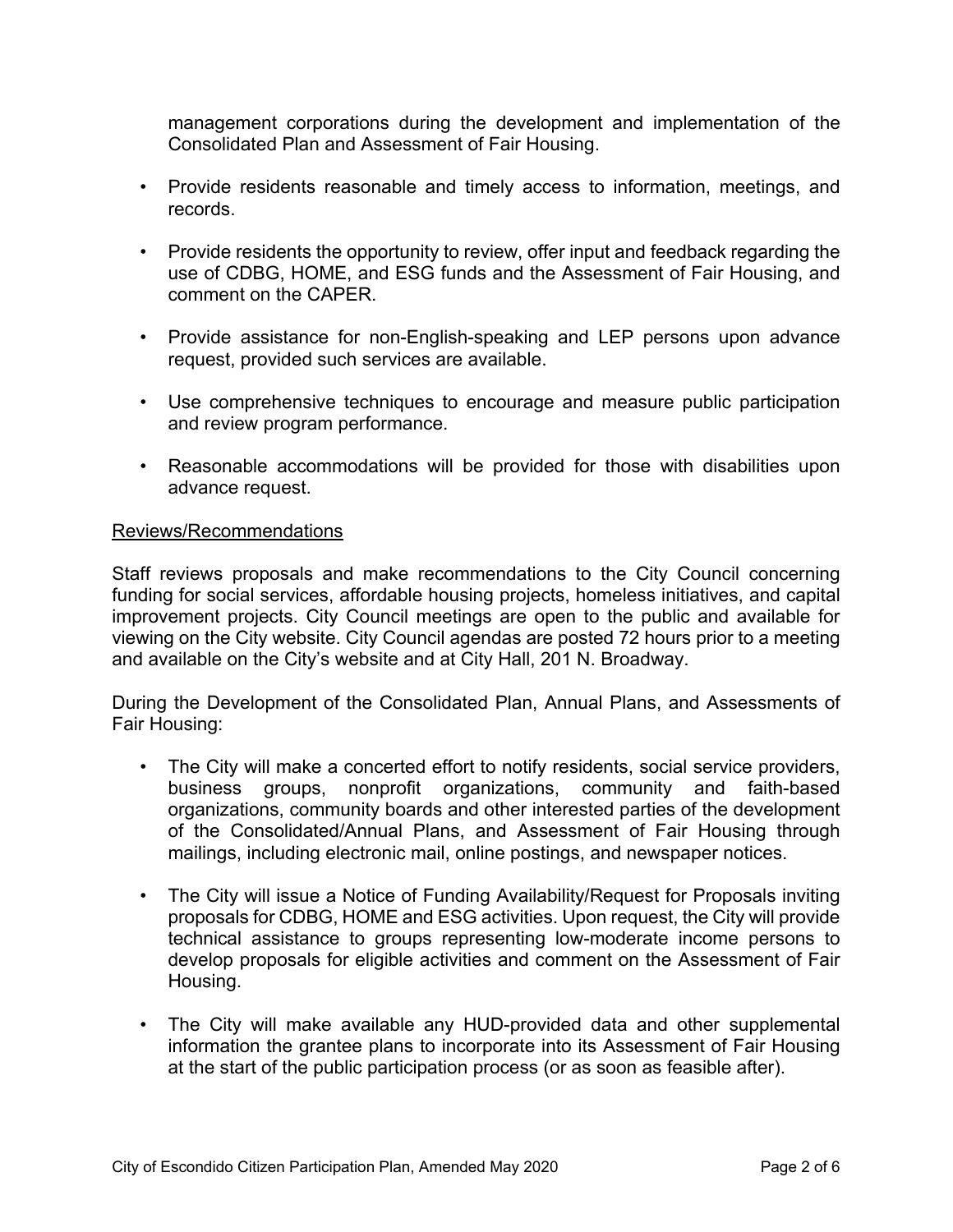management corporations during the development and implementation of the Consolidated Plan and Assessment of Fair Housing.

- Provide residents reasonable and timely access to information, meetings, and records.
- Provide residents the opportunity to review, offer input and feedback regarding the use of CDBG, HOME, and ESG funds and the Assessment of Fair Housing, and comment on the CAPER.
- Provide assistance for non-English-speaking and LEP persons upon advance request, provided such services are available.
- Use comprehensive techniques to encourage and measure public participation and review program performance.
- Reasonable accommodations will be provided for those with disabilities upon advance request.

### Reviews/Recommendations

Staff reviews proposals and make recommendations to the City Council concerning funding for social services, affordable housing projects, homeless initiatives, and capital improvement projects. City Council meetings are open to the public and available for viewing on the City website. City Council agendas are posted 72 hours prior to a meeting and available on the City's website and at City Hall, 201 N. Broadway.

During the Development of the Consolidated Plan, Annual Plans, and Assessments of Fair Housing:

- The City will make a concerted effort to notify residents, social service providers, business groups, nonprofit organizations, community and faith-based organizations, community boards and other interested parties of the development of the Consolidated/Annual Plans, and Assessment of Fair Housing through mailings, including electronic mail, online postings, and newspaper notices.
- The City will issue a Notice of Funding Availability/Request for Proposals inviting proposals for CDBG, HOME and ESG activities. Upon request, the City will provide technical assistance to groups representing low-moderate income persons to develop proposals for eligible activities and comment on the Assessment of Fair Housing.
- The City will make available any HUD-provided data and other supplemental information the grantee plans to incorporate into its Assessment of Fair Housing at the start of the public participation process (or as soon as feasible after).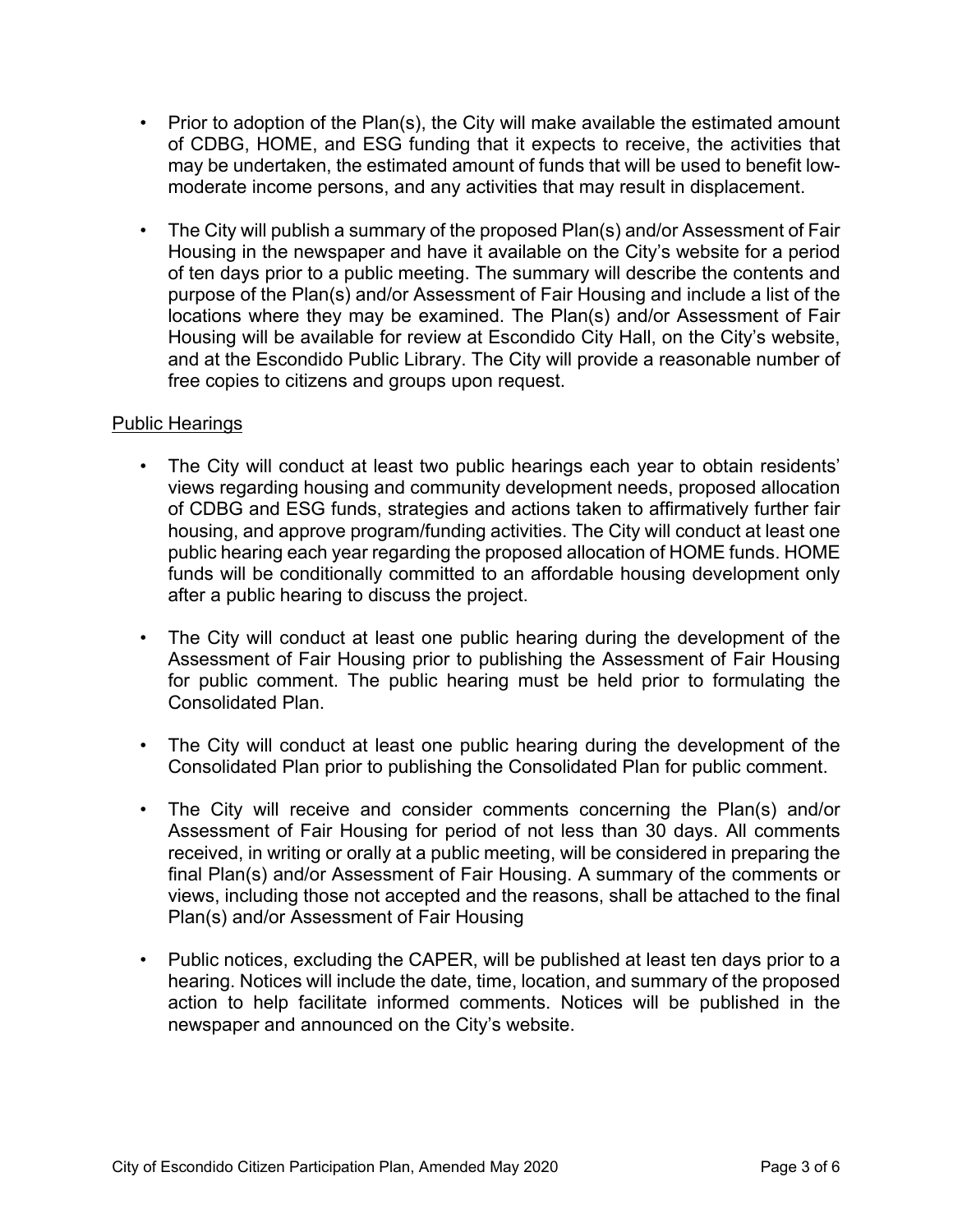- Prior to adoption of the Plan(s), the City will make available the estimated amount of CDBG, HOME, and ESG funding that it expects to receive, the activities that may be undertaken, the estimated amount of funds that will be used to benefit lowmoderate income persons, and any activities that may result in displacement.
- The City will publish a summary of the proposed Plan(s) and/or Assessment of Fair Housing in the newspaper and have it available on the City's website for a period of ten days prior to a public meeting. The summary will describe the contents and purpose of the Plan(s) and/or Assessment of Fair Housing and include a list of the locations where they may be examined. The Plan(s) and/or Assessment of Fair Housing will be available for review at Escondido City Hall, on the City's website, and at the Escondido Public Library. The City will provide a reasonable number of free copies to citizens and groups upon request.

# Public Hearings

- The City will conduct at least two public hearings each year to obtain residents' views regarding housing and community development needs, proposed allocation of CDBG and ESG funds, strategies and actions taken to affirmatively further fair housing, and approve program/funding activities. The City will conduct at least one public hearing each year regarding the proposed allocation of HOME funds. HOME funds will be conditionally committed to an affordable housing development only after a public hearing to discuss the project.
- The City will conduct at least one public hearing during the development of the Assessment of Fair Housing prior to publishing the Assessment of Fair Housing for public comment. The public hearing must be held prior to formulating the Consolidated Plan.
- The City will conduct at least one public hearing during the development of the Consolidated Plan prior to publishing the Consolidated Plan for public comment.
- The City will receive and consider comments concerning the Plan(s) and/or Assessment of Fair Housing for period of not less than 30 days. All comments received, in writing or orally at a public meeting, will be considered in preparing the final Plan(s) and/or Assessment of Fair Housing. A summary of the comments or views, including those not accepted and the reasons, shall be attached to the final Plan(s) and/or Assessment of Fair Housing
- Public notices, excluding the CAPER, will be published at least ten days prior to a hearing. Notices will include the date, time, location, and summary of the proposed action to help facilitate informed comments. Notices will be published in the newspaper and announced on the City's website.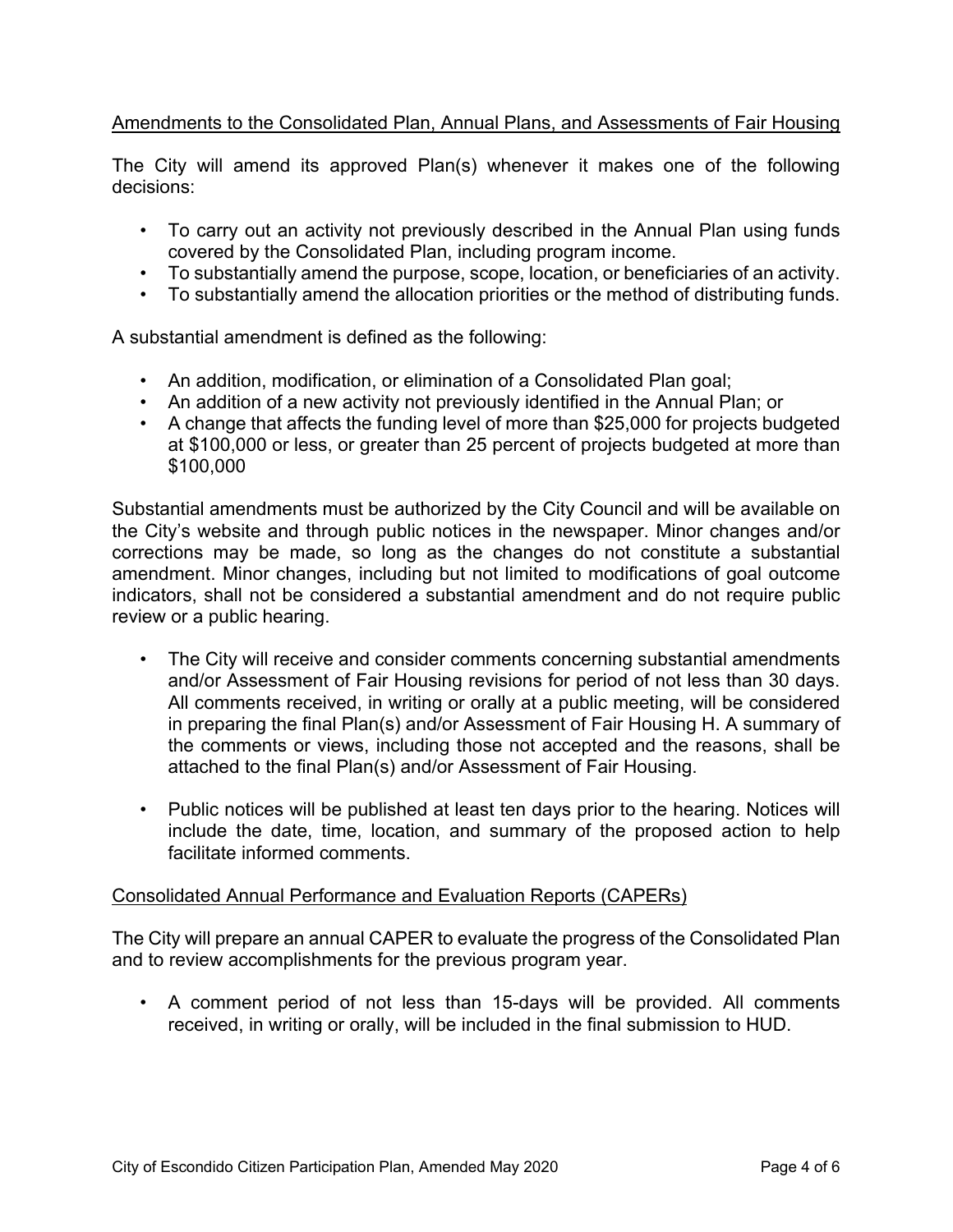# Amendments to the Consolidated Plan, Annual Plans, and Assessments of Fair Housing

The City will amend its approved Plan(s) whenever it makes one of the following decisions:

- To carry out an activity not previously described in the Annual Plan using funds covered by the Consolidated Plan, including program income.
- To substantially amend the purpose, scope, location, or beneficiaries of an activity.
- To substantially amend the allocation priorities or the method of distributing funds.

A substantial amendment is defined as the following:

- An addition, modification, or elimination of a Consolidated Plan goal;
- An addition of a new activity not previously identified in the Annual Plan; or
- A change that affects the funding level of more than \$25,000 for projects budgeted at \$100,000 or less, or greater than 25 percent of projects budgeted at more than \$100,000

Substantial amendments must be authorized by the City Council and will be available on the City's website and through public notices in the newspaper. Minor changes and/or corrections may be made, so long as the changes do not constitute a substantial amendment. Minor changes, including but not limited to modifications of goal outcome indicators, shall not be considered a substantial amendment and do not require public review or a public hearing.

- The City will receive and consider comments concerning substantial amendments and/or Assessment of Fair Housing revisions for period of not less than 30 days. All comments received, in writing or orally at a public meeting, will be considered in preparing the final Plan(s) and/or Assessment of Fair Housing H. A summary of the comments or views, including those not accepted and the reasons, shall be attached to the final Plan(s) and/or Assessment of Fair Housing.
- Public notices will be published at least ten days prior to the hearing. Notices will include the date, time, location, and summary of the proposed action to help facilitate informed comments.

#### Consolidated Annual Performance and Evaluation Reports (CAPERs)

The City will prepare an annual CAPER to evaluate the progress of the Consolidated Plan and to review accomplishments for the previous program year.

• A comment period of not less than 15-days will be provided. All comments received, in writing or orally, will be included in the final submission to HUD.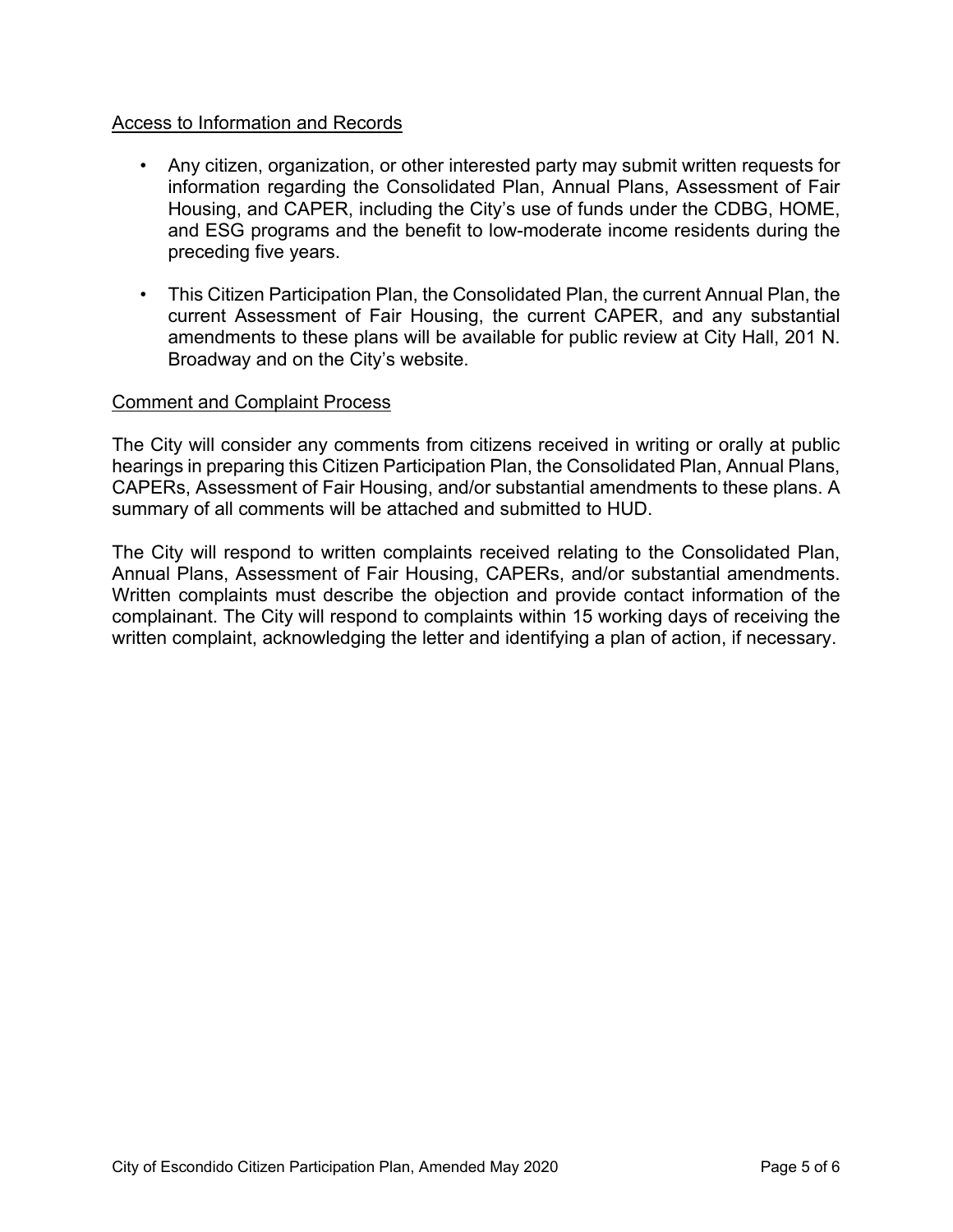## Access to Information and Records

- Any citizen, organization, or other interested party may submit written requests for information regarding the Consolidated Plan, Annual Plans, Assessment of Fair Housing, and CAPER, including the City's use of funds under the CDBG, HOME, and ESG programs and the benefit to low-moderate income residents during the preceding five years.
- This Citizen Participation Plan, the Consolidated Plan, the current Annual Plan, the current Assessment of Fair Housing, the current CAPER, and any substantial amendments to these plans will be available for public review at City Hall, 201 N. Broadway and on the City's website.

### Comment and Complaint Process

The City will consider any comments from citizens received in writing or orally at public hearings in preparing this Citizen Participation Plan, the Consolidated Plan, Annual Plans, CAPERs, Assessment of Fair Housing, and/or substantial amendments to these plans. A summary of all comments will be attached and submitted to HUD.

The City will respond to written complaints received relating to the Consolidated Plan, Annual Plans, Assessment of Fair Housing, CAPERs, and/or substantial amendments. Written complaints must describe the objection and provide contact information of the complainant. The City will respond to complaints within 15 working days of receiving the written complaint, acknowledging the letter and identifying a plan of action, if necessary.